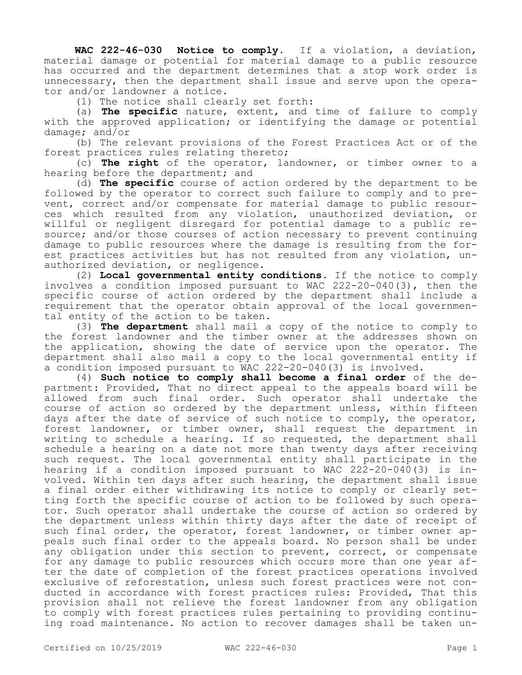**WAC 222-46-030 Notice to comply.** If a violation, a deviation, material damage or potential for material damage to a public resource has occurred and the department determines that a stop work order is unnecessary, then the department shall issue and serve upon the operator and/or landowner a notice.

(1) The notice shall clearly set forth:

(a) **The specific** nature, extent, and time of failure to comply with the approved application; or identifying the damage or potential damage; and/or

(b) The relevant provisions of the Forest Practices Act or of the forest practices rules relating thereto;

(c) **The right** of the operator, landowner, or timber owner to a hearing before the department; and

(d) **The specific** course of action ordered by the department to be followed by the operator to correct such failure to comply and to prevent, correct and/or compensate for material damage to public resources which resulted from any violation, unauthorized deviation, or willful or negligent disregard for potential damage to a public resource; and/or those courses of action necessary to prevent continuing damage to public resources where the damage is resulting from the forest practices activities but has not resulted from any violation, unauthorized deviation, or negligence.

(2) **Local governmental entity conditions.** If the notice to comply involves a condition imposed pursuant to WAC 222-20-040(3), then the specific course of action ordered by the department shall include a requirement that the operator obtain approval of the local governmental entity of the action to be taken.

(3) **The department** shall mail a copy of the notice to comply to the forest landowner and the timber owner at the addresses shown on the application, showing the date of service upon the operator. The department shall also mail a copy to the local governmental entity if a condition imposed pursuant to WAC 222-20-040(3) is involved.

(4) **Such notice to comply shall become a final order** of the department: Provided, That no direct appeal to the appeals board will be allowed from such final order. Such operator shall undertake the course of action so ordered by the department unless, within fifteen days after the date of service of such notice to comply, the operator, forest landowner, or timber owner, shall request the department in writing to schedule a hearing. If so requested, the department shall schedule a hearing on a date not more than twenty days after receiving such request. The local governmental entity shall participate in the hearing if a condition imposed pursuant to WAC  $22\overline{2}-20-040(3)$  is involved. Within ten days after such hearing, the department shall issue a final order either withdrawing its notice to comply or clearly setting forth the specific course of action to be followed by such operator. Such operator shall undertake the course of action so ordered by the department unless within thirty days after the date of receipt of such final order, the operator, forest landowner, or timber owner appeals such final order to the appeals board. No person shall be under any obligation under this section to prevent, correct, or compensate for any damage to public resources which occurs more than one year after the date of completion of the forest practices operations involved exclusive of reforestation, unless such forest practices were not conducted in accordance with forest practices rules: Provided, That this provision shall not relieve the forest landowner from any obligation to comply with forest practices rules pertaining to providing continuing road maintenance. No action to recover damages shall be taken un